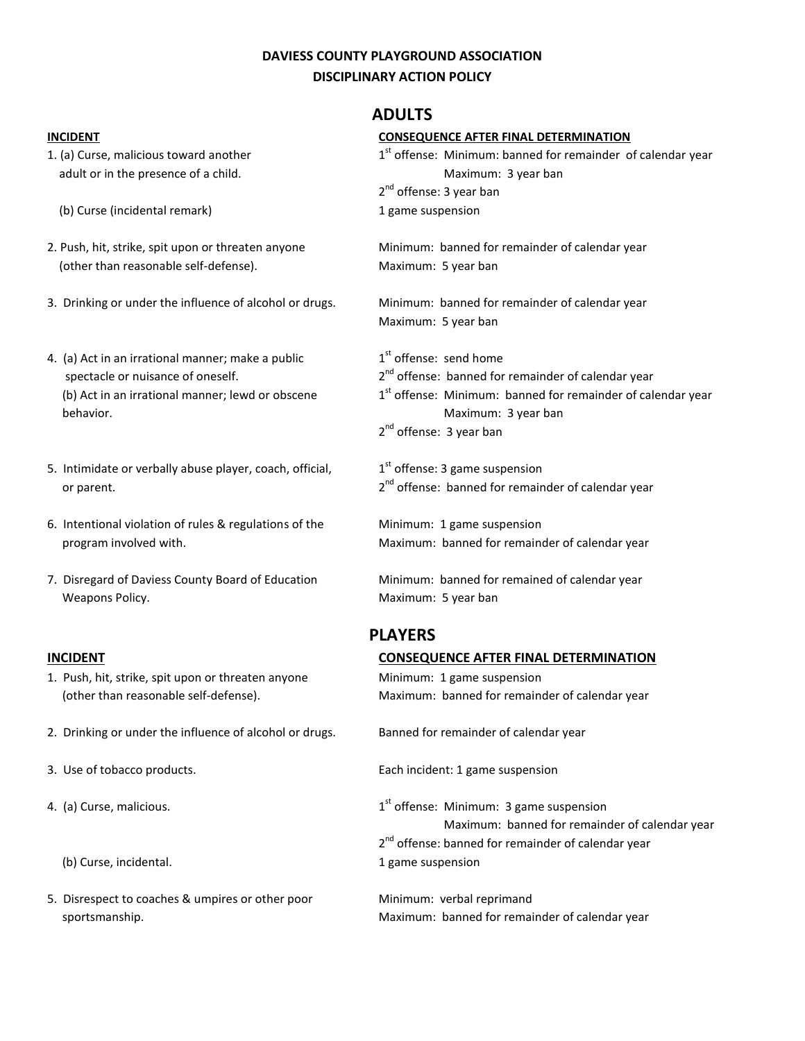### **DAVIESS COUNTY PLAYGROUND ASSOCIATION DISCIPLINARY ACTION POLICY**

- 1. (a) Curse, malicious toward another adult or in the presence of a child.
	- (b) Curse (incidental remark)
- 2. Push, hit, strike, spit upon or threaten anyone (other than reasonable self-defense).
- 3. Drinking or under the influence of alcohol or drugs.
- 4. (a) Act in an irrational manner; make a public 1 spectacle or nuisance of oneself. (b) Act in an irrational manner; lewd or obscene behavior. Maximum: 3 year ban
- 5. Intimidate or verbally abuse player, coach, official, 1 or parent.
- 6. Intentional violation of rules & regulations of the program involved with.
- 7. Disregard of Daviess County Board of Education Weapons Policy.

- 1. Push, hit, strike, spit upon or threaten anyone (other than reasonable self-defense).
- 2. Drinking or under the influence of alcohol or drugs. Banned for remainder of calendar year
- 
- 4. (a) Curse, malicious. 1
	-
- 5. Disrespect to coaches & umpires or other poor Minimum: verbal reprimand

### **ADULTS**

| <b>INCIDENT</b>                                               | <b>CONSEQUENCE AFTER FINAL DETERMINATION</b>                                       |
|---------------------------------------------------------------|------------------------------------------------------------------------------------|
| 1. (a) Curse, malicious toward another                        | 1 <sup>st</sup> offense: Minimum: banned for remainder of calendar year            |
| adult or in the presence of a child.                          | Maximum: 3 year ban                                                                |
|                                                               | 2 <sup>nd</sup> offense: 3 year ban                                                |
| (b) Curse (incidental remark)                                 | 1 game suspension                                                                  |
| 2. Push, hit, strike, spit upon or threaten anyone            | Minimum: banned for remainder of calendar year                                     |
| (other than reasonable self-defense).                         | Maximum: 5 year ban                                                                |
| 3. Drinking or under the influence of alcohol or drugs.       | Minimum: banned for remainder of calendar year                                     |
|                                                               | Maximum: 5 year ban                                                                |
| 4. (a) Act in an irrational manner; make a public             | 1 <sup>st</sup> offense: send home                                                 |
| spectacle or nuisance of oneself.                             | 2 <sup>nd</sup> offense: banned for remainder of calendar year                     |
| (b) Act in an irrational manner; lewd or obscene<br>behavior. | 1st offense: Minimum: banned for remainder of calendar year<br>Maximum: 3 year ban |
|                                                               | 2 <sup>nd</sup> offense: 3 year ban                                                |
| 5. Intimidate or verbally abuse player, coach, official,      | $1st$ offense: 3 game suspension                                                   |
| or parent.                                                    | 2 <sup>nd</sup> offense: banned for remainder of calendar year                     |
| 6. Intentional violation of rules & regulations of the        | Minimum: 1 game suspension                                                         |
| program involved with.                                        | Maximum: banned for remainder of calendar year                                     |
| 7. Disregard of Daviess County Board of Education             | Minimum: banned for remained of calendar year                                      |
| Weapons Policy.                                               | Maximum: 5 year ban                                                                |
|                                                               | <b>PLAYERS</b>                                                                     |
| <b>INCIDENT</b>                                               | <b>CONSEQUENCE AFTER FINAL DETERMINATION</b>                                       |
| 1. Push, hit, strike, spit upon or threaten anyone            | Minimum: 1 game suspension                                                         |
| (other than reasonable self-defense).                         | Maximum: banned for remainder of calendar year                                     |
| 0 . Daialaine en weden the influence of elected an during     | Denis ed feu remetraden ef celenden unen                                           |

3. Use of tobacco products. Each incident: 1 game suspension

 $1<sup>st</sup>$  offense: Minimum: 3 game suspension Maximum: banned for remainder of calendar year 2<sup>nd</sup> offense: banned for remainder of calendar year (b) Curse, incidental. The contract of the curse of the curse of the curse of the curse of the curse of the curse of the curse of the curse of the curse of the curse of the curse of the curse of the curse of the curse of t

sportsmanship. Maximum: banned for remainder of calendar year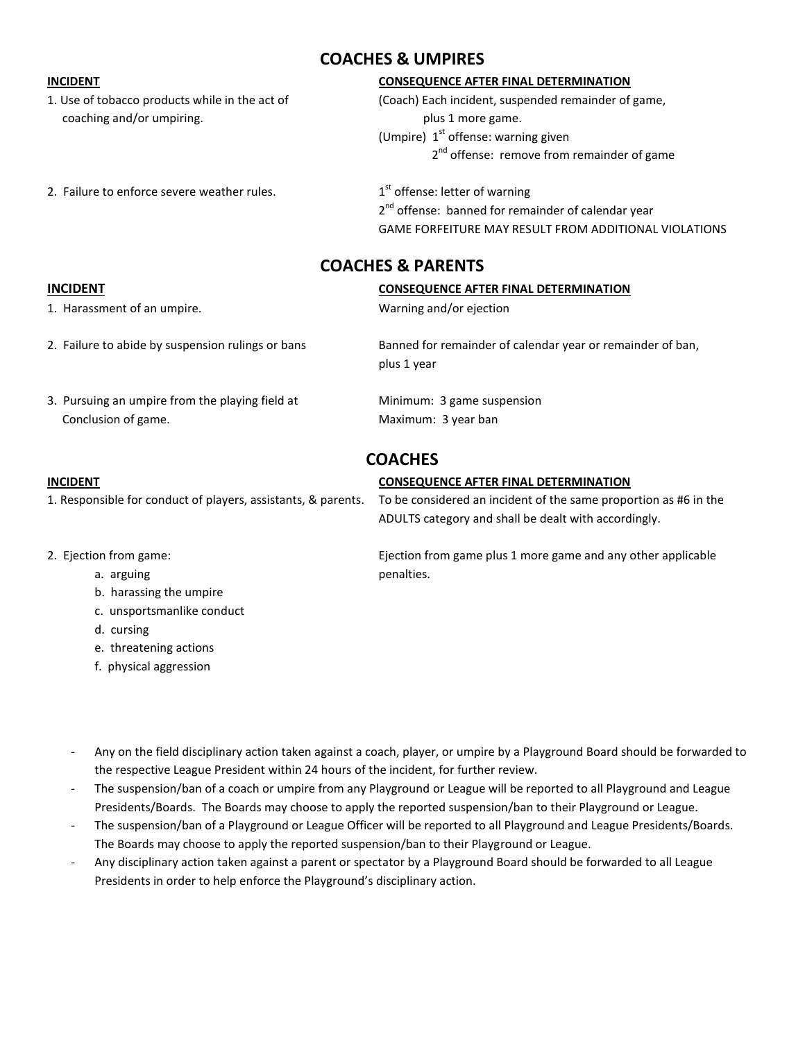coaching and/or umpiring. example the state of the plus 1 more game.

#### 2. Failure to enforce severe weather rules.

## **COACHES & UMPIRES**

#### **INCIDENT CONSEQUENCE AFTER FINAL DETERMINATION**

1. Use of tobacco products while in the act of (Coach) Each incident, suspended remainder of game, (Umpire)  $1<sup>st</sup>$  offense: warning given 2<sup>nd</sup> offense: remove from remainder of game

> $1<sup>st</sup>$  offense: letter of warning 2<sup>nd</sup> offense: banned for remainder of calendar year GAME FORFEITURE MAY RESULT FROM ADDITIONAL VIOLATIONS

## **COACHES & PARENTS**

# **INCIDENT CONSEQUENCE AFTER FINAL DETERMINATION** 1. Harassment of an umpire. Warning and/or ejection 2. Failure to abide by suspension rulings or bans Banned for remainder of calendar year or remainder of ban, plus 1 year 3. Pursuing an umpire from the playing field at Minimum: 3 game suspension Conclusion of game. The conclusion of game. **COACHES INCIDENT CONSEQUENCE AFTER FINAL DETERMINATION** 1. Responsible for conduct of players, assistants, & parents. To be considered an incident of the same proportion as #6 in the ADULTS category and shall be dealt with accordingly. 2. Ejection from game: Ejection from game plus 1 more game and any other applicable a. arguing penalties. b. harassing the umpire

- c. unsportsmanlike conduct
- d. cursing
- e. threatening actions
- f. physical aggression

- Any on the field disciplinary action taken against a coach, player, or umpire by a Playground Board should be forwarded to the respective League President within 24 hours of the incident, for further review.

- The suspension/ban of a coach or umpire from any Playground or League will be reported to all Playground and League Presidents/Boards. The Boards may choose to apply the reported suspension/ban to their Playground or League.
- The suspension/ban of a Playground or League Officer will be reported to all Playground and League Presidents/Boards. The Boards may choose to apply the reported suspension/ban to their Playground or League.
- Any disciplinary action taken against a parent or spectator by a Playground Board should be forwarded to all League Presidents in order to help enforce the Playground's disciplinary action.